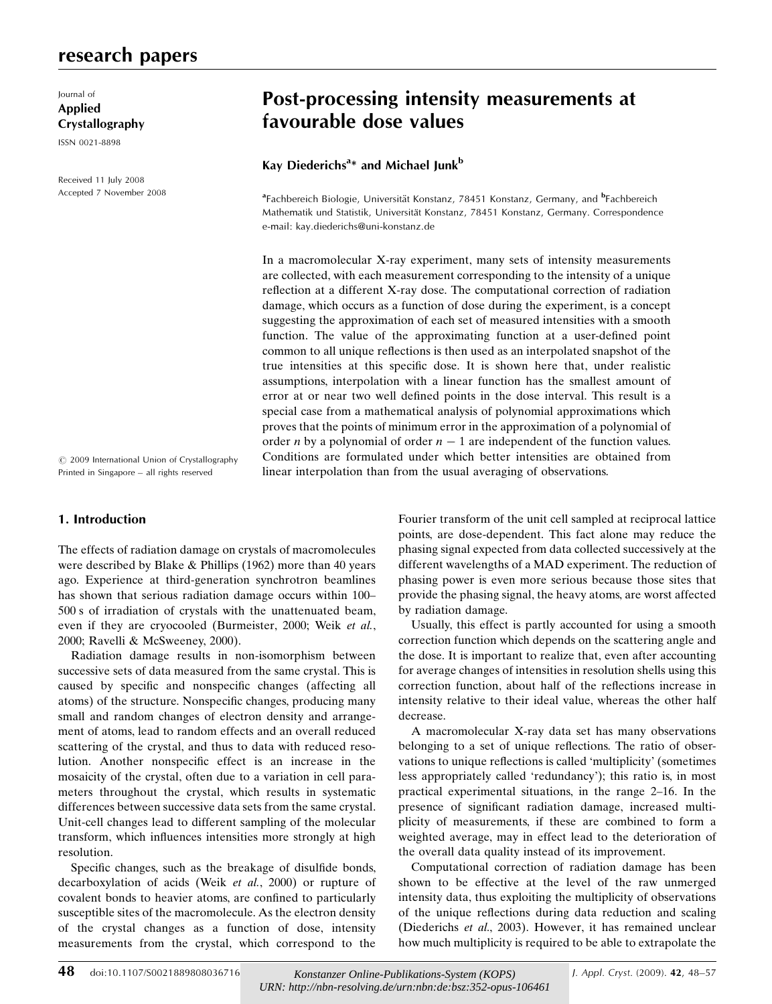Journal of Applied Crystallography

ISSN 0021-8898

Received 11 July 2008 Accepted 7 November 2008

# Post-processing intensity measurements at favourable dose values

# Kay Diederichs<sup>a\*</sup> and Michael Junk<sup>b</sup>

<sup>a</sup>Fachbereich Biologie, Universität Konstanz, 78451 Konstanz, Germany, and <sup>b</sup>Fachbereich Mathematik und Statistik, Universität Konstanz, 78451 Konstanz, Germany. Correspondence e-mail: kay.diederichs@uni-konstanz.de

In a macromolecular X-ray experiment, many sets of intensity measurements are collected, with each measurement corresponding to the intensity of a unique reflection at a different X-ray dose. The computational correction of radiation damage, which occurs as a function of dose during the experiment, is a concept suggesting the approximation of each set of measured intensities with a smooth function. The value of the approximating function at a user-defined point common to all unique reflections is then used as an interpolated snapshot of the true intensities at this specific dose. It is shown here that, under realistic assumptions, interpolation with a linear function has the smallest amount of error at or near two well defined points in the dose interval. This result is a special case from a mathematical analysis of polynomial approximations which proves that the points of minimum error in the approximation of a polynomial of order *n* by a polynomial of order  $n - 1$  are independent of the function values. Conditions are formulated under which better intensities are obtained from linear interpolation than from the usual averaging of observations.

 $\odot$  2009 International Union of Crystallography Printed in Singapore – all rights reserved

# 1. Introduction

The effects of radiation damage on crystals of macromolecules were described by Blake & Phillips (1962) more than 40 years ago. Experience at third-generation synchrotron beamlines has shown that serious radiation damage occurs within 100– 500 s of irradiation of crystals with the unattenuated beam, even if they are cryocooled (Burmeister, 2000; Weik et al., 2000; Ravelli & McSweeney, 2000).

Radiation damage results in non-isomorphism between successive sets of data measured from the same crystal. This is caused by specific and nonspecific changes (affecting all atoms) of the structure. Nonspecific changes, producing many small and random changes of electron density and arrangement of atoms, lead to random effects and an overall reduced scattering of the crystal, and thus to data with reduced resolution. Another nonspecific effect is an increase in the mosaicity of the crystal, often due to a variation in cell parameters throughout the crystal, which results in systematic differences between successive data sets from the same crystal. Unit-cell changes lead to different sampling of the molecular transform, which influences intensities more strongly at high resolution.

Specific changes, such as the breakage of disulfide bonds, decarboxylation of acids (Weik et al., 2000) or rupture of covalent bonds to heavier atoms, are confined to particularly susceptible sites of the macromolecule. As the electron density of the crystal changes as a function of dose, intensity measurements from the crystal, which correspond to the

Fourier transform of the unit cell sampled at reciprocal lattice points, are dose-dependent. This fact alone may reduce the phasing signal expected from data collected successively at the different wavelengths of a MAD experiment. The reduction of phasing power is even more serious because those sites that provide the phasing signal, the heavy atoms, are worst affected by radiation damage.

Usually, this effect is partly accounted for using a smooth correction function which depends on the scattering angle and the dose. It is important to realize that, even after accounting for average changes of intensities in resolution shells using this correction function, about half of the reflections increase in intensity relative to their ideal value, whereas the other half decrease.

A macromolecular X-ray data set has many observations belonging to a set of unique reflections. The ratio of observations to unique reflections is called 'multiplicity' (sometimes less appropriately called 'redundancy'); this ratio is, in most practical experimental situations, in the range 2–16. In the presence of significant radiation damage, increased multiplicity of measurements, if these are combined to form a weighted average, may in effect lead to the deterioration of the overall data quality instead of its improvement.

Computational correction of radiation damage has been shown to be effective at the level of the raw unmerged intensity data, thus exploiting the multiplicity of observations of the unique reflections during data reduction and scaling (Diederichs et al., 2003). However, it has remained unclear how much multiplicity is required to be able to extrapolate the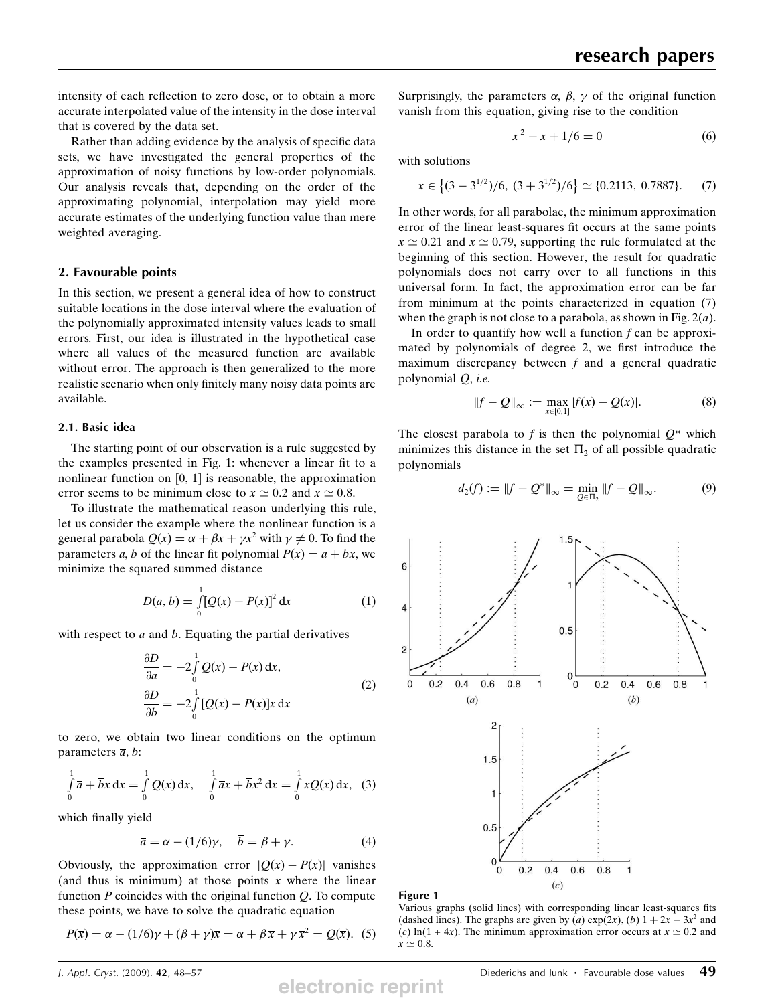intensity of each reflection to zero dose, or to obtain a more accurate interpolated value of the intensity in the dose interval that is covered by the data set.

Rather than adding evidence by the analysis of specific data sets, we have investigated the general properties of the approximation of noisy functions by low-order polynomials. Our analysis reveals that, depending on the order of the approximating polynomial, interpolation may yield more accurate estimates of the underlying function value than mere weighted averaging.

#### 2. Favourable points

In this section, we present a general idea of how to construct suitable locations in the dose interval where the evaluation of the polynomially approximated intensity values leads to small errors. First, our idea is illustrated in the hypothetical case where all values of the measured function are available without error. The approach is then generalized to the more realistic scenario when only finitely many noisy data points are available.

#### 2.1. Basic idea

The starting point of our observation is a rule suggested by the examples presented in Fig. 1: whenever a linear fit to a nonlinear function on [0, 1] is reasonable, the approximation error seems to be minimum close to  $x \approx 0.2$  and  $x \approx 0.8$ .

To illustrate the mathematical reason underlying this rule, let us consider the example where the nonlinear function is a general parabola  $Q(x) = \alpha + \beta x + \gamma x^2$  with  $\gamma \neq 0$ . To find the parameters a, b of the linear fit polynomial  $P(x) = a + bx$ , we minimize the squared summed distance

$$
D(a, b) = \int_{0}^{1} [Q(x) - P(x)]^{2} dx
$$
 (1)

with respect to  $a$  and  $b$ . Equating the partial derivatives

$$
\frac{\partial D}{\partial a} = -2 \int_{0}^{1} Q(x) - P(x) dx,
$$
  
\n
$$
\frac{\partial D}{\partial b} = -2 \int_{0}^{1} [Q(x) - P(x)]x dx
$$
\n(2)

to zero, we obtain two linear conditions on the optimum parameters  $\overline{a}$ ,  $\overline{b}$ :

$$
\int_{0}^{1} \overline{a} + \overline{b}x \, dx = \int_{0}^{1} Q(x) \, dx, \quad \int_{0}^{1} \overline{a}x + \overline{b}x^{2} \, dx = \int_{0}^{1} xQ(x) \, dx, \tag{3}
$$

which finally yield

$$
\overline{a} = \alpha - (1/6)\gamma, \quad \overline{b} = \beta + \gamma. \tag{4}
$$

Obviously, the approximation error  $|Q(x) - P(x)|$  vanishes (and thus is minimum) at those points  $\bar{x}$  where the linear function  $P$  coincides with the original function  $Q$ . To compute these points, we have to solve the quadratic equation

$$
P(\overline{x}) = \alpha - (1/6)\gamma + (\beta + \gamma)\overline{x} = \alpha + \beta\overline{x} + \gamma\overline{x}^2 = Q(\overline{x}).
$$
 (5)

$$
\bar{x}^2 - \bar{x} + 1/6 = 0\tag{6}
$$

with solutions

$$
\overline{x} \in \left\{ (3-3^{1/2})/6, \ (3+3^{1/2})/6 \right\} \simeq \{0.2113, \ 0.7887 \}.
$$
 (7)

In other words, for all parabolae, the minimum approximation error of the linear least-squares fit occurs at the same points  $x \approx 0.21$  and  $x \approx 0.79$ , supporting the rule formulated at the beginning of this section. However, the result for quadratic polynomials does not carry over to all functions in this universal form. In fact, the approximation error can be far from minimum at the points characterized in equation (7) when the graph is not close to a parabola, as shown in Fig.  $2(a)$ .

In order to quantify how well a function  $f$  can be approximated by polynomials of degree 2, we first introduce the maximum discrepancy between  $f$  and a general quadratic polynomial Q, i.e.

$$
||f - Q||_{\infty} := \max_{x \in [0,1]} |f(x) - Q(x)|.
$$
 (8)

The closest parabola to f is then the polynomial  $Q^*$  which minimizes this distance in the set  $\Pi_2$  of all possible quadratic polynomials

$$
d_2(f) := \|f - Q^*\|_{\infty} = \min_{Q \in \Pi_2} \|f - Q\|_{\infty}.
$$
 (9)



#### Figure 1

Various graphs (solid lines) with corresponding linear least-squares fits (dashed lines). The graphs are given by (a)  $exp(2x)$ , (b)  $1 + 2x - 3x^2$  and (c) ln(1 + 4x). The minimum approximation error occurs at  $x \approx 0.2$  and  $x \sim 0.8$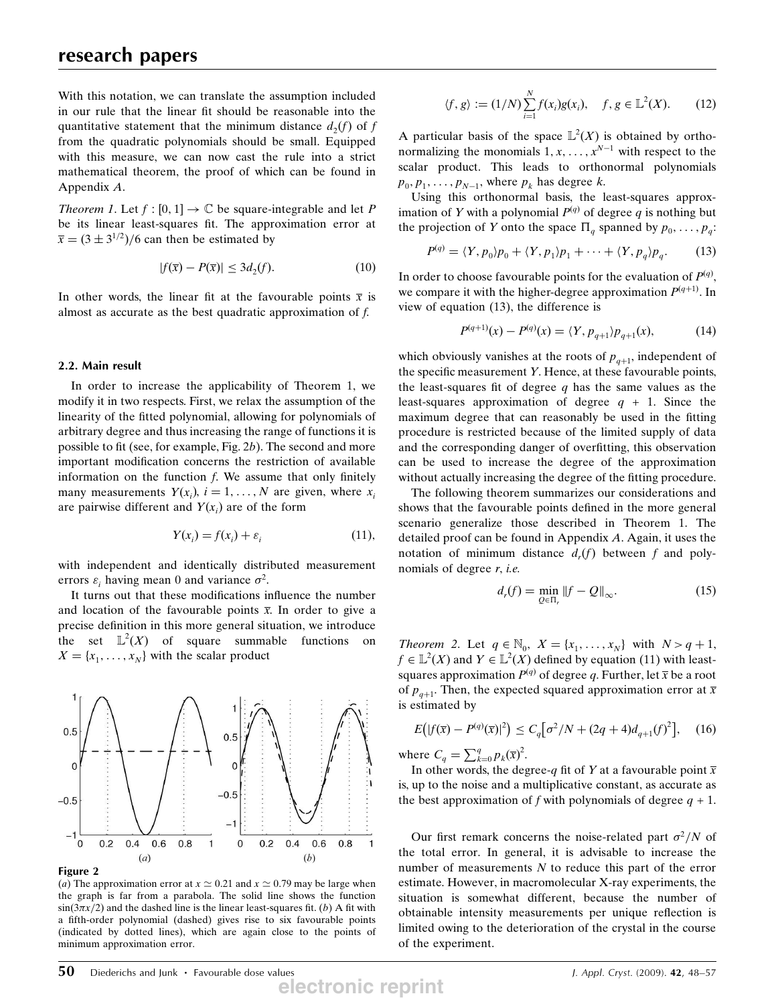With this notation, we can translate the assumption included in our rule that the linear fit should be reasonable into the quantitative statement that the minimum distance  $d_2(f)$  of f from the quadratic polynomials should be small. Equipped with this measure, we can now cast the rule into a strict mathematical theorem, the proof of which can be found in Appendix A.

*Theorem 1*. Let  $f : [0, 1] \rightarrow \mathbb{C}$  be square-integrable and let P be its linear least-squares fit. The approximation error at  $\bar{x} = (3 \pm 3^{1/2})/6$  can then be estimated by

$$
|f(\overline{x}) - P(\overline{x})| \le 3d_2(f). \tag{10}
$$

In other words, the linear fit at the favourable points  $\bar{x}$  is almost as accurate as the best quadratic approximation of f.

#### 2.2. Main result

In order to increase the applicability of Theorem 1, we modify it in two respects. First, we relax the assumption of the linearity of the fitted polynomial, allowing for polynomials of arbitrary degree and thus increasing the range of functions it is possible to fit (see, for example, Fig. 2b). The second and more important modification concerns the restriction of available information on the function  $f$ . We assume that only finitely many measurements  $Y(x_i)$ ,  $i = 1, ..., N$  are given, where  $x_i$ are pairwise different and  $Y(x_i)$  are of the form

$$
Y(x_i) = f(x_i) + \varepsilon_i \tag{11}
$$

with independent and identically distributed measurement errors  $\varepsilon_i$  having mean 0 and variance  $\sigma^2$ .

It turns out that these modifications influence the number and location of the favourable points  $\bar{x}$ . In order to give a precise definition in this more general situation, we introduce the set  $\mathbb{L}^2(X)$  of square summable functions on  $X = \{x_1, \ldots, x_N\}$  with the scalar product



#### Figure 2

(a) The approximation error at  $x \approx 0.21$  and  $x \approx 0.79$  may be large when the graph is far from a parabola. The solid line shows the function  $sin(3\pi x/2)$  and the dashed line is the linear least-squares fit. (b) A fit with a fifth-order polynomial (dashed) gives rise to six favourable points (indicated by dotted lines), which are again close to the points of minimum approximation error.

$$
\langle f, g \rangle := (1/N) \sum_{i=1}^{N} f(x_i) g(x_i), \quad f, g \in \mathbb{L}^2(X). \tag{12}
$$

A particular basis of the space  $\mathbb{L}^2(X)$  is obtained by orthonormalizing the monomials  $1, x, \ldots, x^{N-1}$  with respect to the scalar product. This leads to orthonormal polynomials  $p_0, p_1, \ldots, p_{N-1}$ , where  $p_k$  has degree k.

Using this orthonormal basis, the least-squares approximation of Y with a polynomial  $P^{(q)}$  of degree q is nothing but the projection of Y onto the space  $\Pi_a$  spanned by  $p_0, \ldots, p_a$ :

$$
P^{(q)} = \langle Y, p_0 \rangle p_0 + \langle Y, p_1 \rangle p_1 + \dots + \langle Y, p_q \rangle p_q. \tag{13}
$$

In order to choose favourable points for the evaluation of  $P^{(q)}$ , we compare it with the higher-degree approximation  $P^{(q+1)}$ . In view of equation (13), the difference is

$$
P^{(q+1)}(x) - P^{(q)}(x) = \langle Y, p_{q+1} \rangle p_{q+1}(x), \tag{14}
$$

which obviously vanishes at the roots of  $p_{q+1}$ , independent of the specific measurement Y. Hence, at these favourable points, the least-squares fit of degree  $q$  has the same values as the least-squares approximation of degree  $q + 1$ . Since the maximum degree that can reasonably be used in the fitting procedure is restricted because of the limited supply of data and the corresponding danger of overfitting, this observation can be used to increase the degree of the approximation without actually increasing the degree of the fitting procedure.

The following theorem summarizes our considerations and shows that the favourable points defined in the more general scenario generalize those described in Theorem 1. The detailed proof can be found in Appendix A. Again, it uses the notation of minimum distance  $d_r(f)$  between f and polynomials of degree  $r$ , *i.e.* 

$$
d_r(f) = \min_{Q \in \Pi_r} \|f - Q\|_{\infty}.
$$
 (15)

*Theorem 2.* Let  $q \in \mathbb{N}_0$ ,  $X = \{x_1, \ldots, x_N\}$  with  $N > q + 1$ ,  $f \in \mathbb{L}^2(X)$  and  $Y \in \mathbb{L}^2(X)$  defined by equation (11) with leastsquares approximation  $P^{(q)}$  of degree q. Further, let  $\bar{x}$  be a root of  $p_{q+1}$ . Then, the expected squared approximation error at  $\bar{x}$ is estimated by

$$
E\big(|f(\overline{x}) - P^{(q)}(\overline{x})|^2\big) \le C_q \big[\sigma^2/N + (2q+4)d_{q+1}(f)^2\big],\tag{16}
$$

where  $C_q = \sum_{k=0}^q p_k(\overline{x})^2$ .

In other words, the degree-q fit of Y at a favourable point  $\overline{x}$ is, up to the noise and a multiplicative constant, as accurate as the best approximation of f with polynomials of degree  $q + 1$ .

Our first remark concerns the noise-related part  $\sigma^2/N$  of the total error. In general, it is advisable to increase the number of measurements  $N$  to reduce this part of the error estimate. However, in macromolecular X-ray experiments, the situation is somewhat different, because the number of obtainable intensity measurements per unique reflection is limited owing to the deterioration of the crystal in the course of the experiment.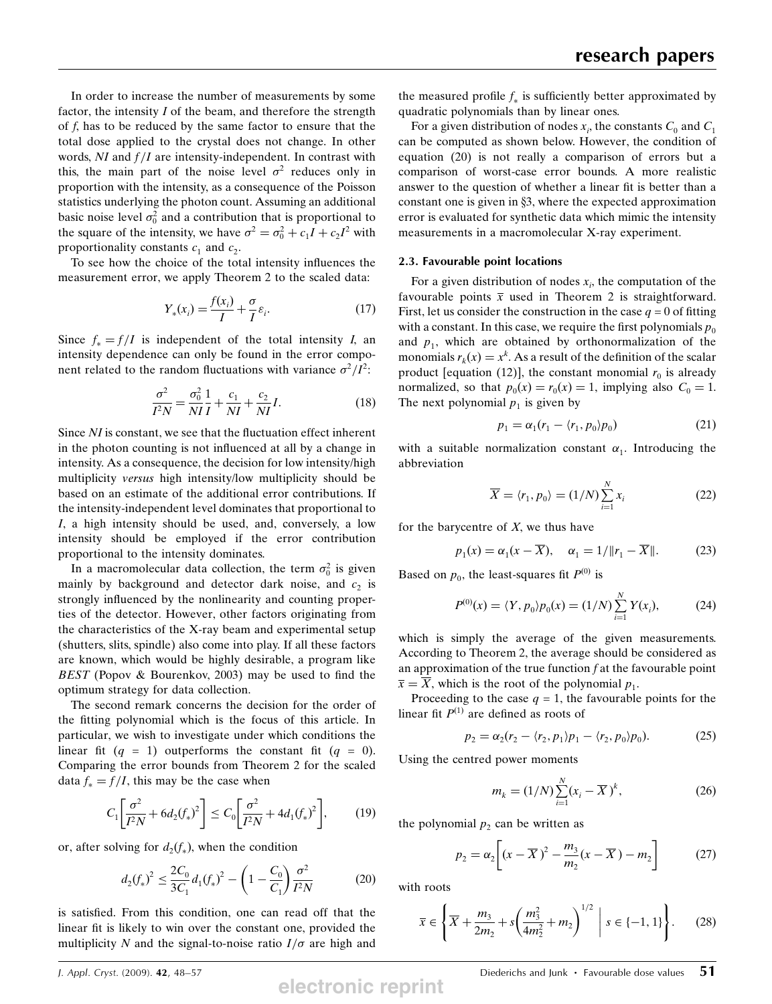In order to increase the number of measurements by some factor, the intensity  $I$  of the beam, and therefore the strength of f, has to be reduced by the same factor to ensure that the total dose applied to the crystal does not change. In other words,  $NI$  and  $f/I$  are intensity-independent. In contrast with this, the main part of the noise level  $\sigma^2$  reduces only in proportion with the intensity, as a consequence of the Poisson statistics underlying the photon count. Assuming an additional basic noise level  $\sigma_0^2$  and a contribution that is proportional to the square of the intensity, we have  $\sigma^2 = \sigma_0^2 + c_1 I + c_2 I^2$  with proportionality constants  $c_1$  and  $c_2$ .

To see how the choice of the total intensity influences the measurement error, we apply Theorem 2 to the scaled data:

$$
Y_*(x_i) = \frac{f(x_i)}{I} + \frac{\sigma}{I} \varepsilon_i.
$$
\n(17)

Since  $f_* = f/I$  is independent of the total intensity I, an intensity dependence can only be found in the error component related to the random fluctuations with variance  $\sigma^2/I^2$ :

$$
\frac{\sigma^2}{I^2 N} = \frac{\sigma_0^2}{NI} \frac{1}{I} + \frac{c_1}{NI} + \frac{c_2}{NI} I.
$$
 (18)

Since NI is constant, we see that the fluctuation effect inherent in the photon counting is not influenced at all by a change in intensity. As a consequence, the decision for low intensity/high multiplicity versus high intensity/low multiplicity should be based on an estimate of the additional error contributions. If the intensity-independent level dominates that proportional to I, a high intensity should be used, and, conversely, a low intensity should be employed if the error contribution proportional to the intensity dominates.

In a macromolecular data collection, the term  $\sigma_0^2$  is given mainly by background and detector dark noise, and  $c_2$  is strongly influenced by the nonlinearity and counting properties of the detector. However, other factors originating from the characteristics of the X-ray beam and experimental setup (shutters, slits, spindle) also come into play. If all these factors are known, which would be highly desirable, a program like BEST (Popov & Bourenkov, 2003) may be used to find the optimum strategy for data collection.

The second remark concerns the decision for the order of the fitting polynomial which is the focus of this article. In particular, we wish to investigate under which conditions the linear fit  $(q = 1)$  outperforms the constant fit  $(q = 0)$ . Comparing the error bounds from Theorem 2 for the scaled data  $f_* = f/I$ , this may be the case when

$$
C_1 \left[ \frac{\sigma^2}{I^2 N} + 6d_2(f_*)^2 \right] \le C_0 \left[ \frac{\sigma^2}{I^2 N} + 4d_1(f_*)^2 \right],\tag{19}
$$

or, after solving for  $d_2(f_*)$ , when the condition

$$
d_2(f_*)^2 \le \frac{2C_0}{3C_1} d_1(f_*)^2 - \left(1 - \frac{C_0}{C_1}\right) \frac{\sigma^2}{I^2 N} \tag{20}
$$

is satisfied. From this condition, one can read off that the linear fit is likely to win over the constant one, provided the multiplicity N and the signal-to-noise ratio  $I/\sigma$  are high and

For a given distribution of nodes  $x_i$ , the constants  $C_0$  and  $C_1$ can be computed as shown below. However, the condition of equation (20) is not really a comparison of errors but a comparison of worst-case error bounds. A more realistic answer to the question of whether a linear fit is better than a constant one is given in  $\S3$ , where the expected approximation error is evaluated for synthetic data which mimic the intensity measurements in a macromolecular X-ray experiment.

#### 2.3. Favourable point locations

For a given distribution of nodes  $x_i$ , the computation of the favourable points  $\bar{x}$  used in Theorem 2 is straightforward. First, let us consider the construction in the case  $q = 0$  of fitting with a constant. In this case, we require the first polynomials  $p_0$ and  $p_1$ , which are obtained by orthonormalization of the monomials  $r_k(x) = x^k$ . As a result of the definition of the scalar product [equation (12)], the constant monomial  $r_0$  is already normalized, so that  $p_0(x) = r_0(x) = 1$ , implying also  $C_0 = 1$ . The next polynomial  $p_1$  is given by

$$
p_1 = \alpha_1 (r_1 - \langle r_1, p_0 \rangle p_0) \tag{21}
$$

with a suitable normalization constant  $\alpha_1$ . Introducing the abbreviation

$$
\overline{X} = \langle r_1, p_0 \rangle = (1/N) \sum_{i=1}^{N} x_i \tag{22}
$$

for the barycentre of  $X$ , we thus have

$$
p_1(x) = \alpha_1(x - \overline{X}), \quad \alpha_1 = 1/\|r_1 - \overline{X}\|.
$$
 (23)

Based on  $p_0$ , the least-squares fit  $P^{(0)}$  is

$$
P^{(0)}(x) = \langle Y, p_0 \rangle p_0(x) = (1/N) \sum_{i=1}^{N} Y(x_i), \tag{24}
$$

which is simply the average of the given measurements. According to Theorem 2, the average should be considered as an approximation of the true function  $f$  at the favourable point  $\overline{x} = \overline{X}$ , which is the root of the polynomial  $p_1$ .

Proceeding to the case  $q = 1$ , the favourable points for the linear fit  $P^{(1)}$  are defined as roots of

$$
p_2 = \alpha_2 (r_2 - \langle r_2, p_1 \rangle) p_1 - \langle r_2, p_0 \rangle p_0).
$$
 (25)

Using the centred power moments

$$
m_k = (1/N) \sum_{i=1}^{N} (x_i - \overline{X})^k, \qquad (26)
$$

the polynomial  $p_2$  can be written as

$$
p_2 = \alpha_2 \bigg[ (x - \overline{X})^2 - \frac{m_3}{m_2} (x - \overline{X}) - m_2 \bigg] \tag{27}
$$

with roots

$$
\overline{x} \in \left\{ \overline{X} + \frac{m_3}{2m_2} + s \left( \frac{m_3^2}{4m_2^2} + m_2 \right)^{1/2} \middle| s \in \{-1, 1\} \right\}.
$$
 (28)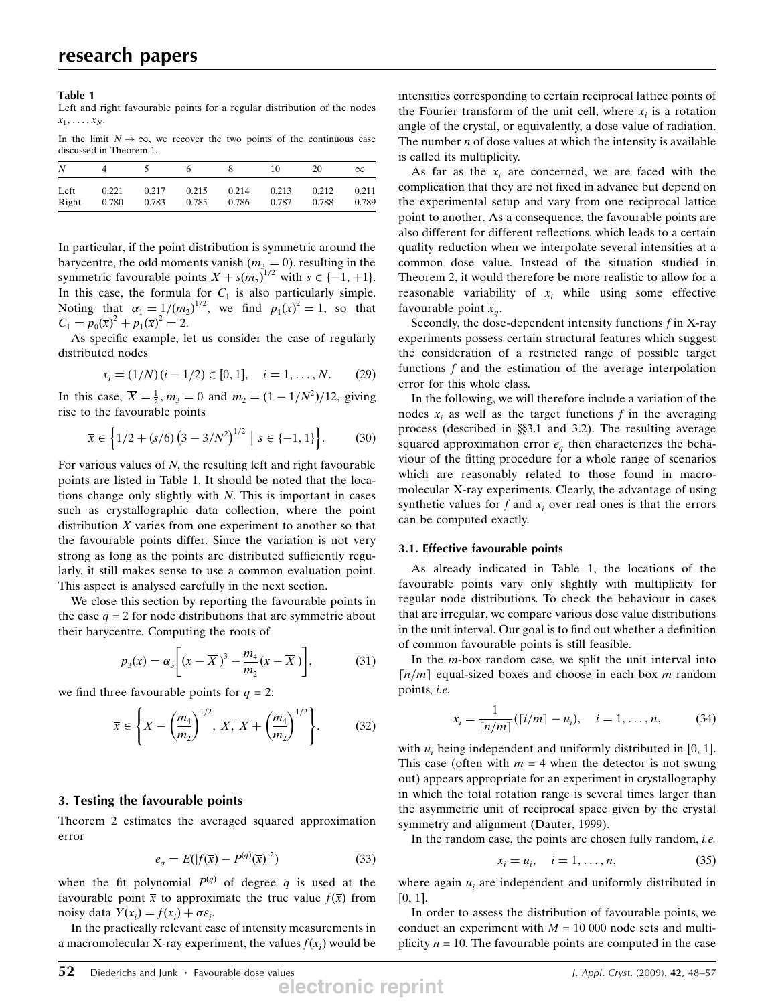#### Table 1

Left and right favourable points for a regular distribution of the nodes  $x_1, \ldots, x_N$ .

In the limit  $N \to \infty$ , we recover the two points of the continuous case discussed in Theorem 1.

| N     |       |       |       |       | 10    | 20    | $\infty$ |
|-------|-------|-------|-------|-------|-------|-------|----------|
| Left  | 0.221 | 0.217 | 0.215 | 0.214 | 0.213 | 0.212 | 0.211    |
| Right | 0.780 | 0.783 | 0.785 | 0.786 | 0.787 | 0.788 | 0.789    |

In particular, if the point distribution is symmetric around the barycentre, the odd moments vanish ( $m_3 = 0$ ), resulting in the symmetric favourable points  $\overline{X} + s(m_2)^{1/2}$  with  $s \in \{-1, +1\}$ . In this case, the formula for  $C_1$  is also particularly simple. Noting that  $\alpha_1 = 1/(m_2)^{1/2}$ , we find  $p_1(\overline{x})^2 = 1$ , so that  $C_1 = p_0(\overline{x})^2 + p_1(\overline{x})^2 = 2.$ 

As specific example, let us consider the case of regularly distributed nodes

$$
x_i = (1/N)(i - 1/2) \in [0, 1], \quad i = 1, ..., N. \tag{29}
$$

In this case,  $\overline{X} = \frac{1}{2}$ ,  $m_3 = 0$  and  $m_2 = (1 - 1/N^2)/12$ , giving rise to the favourable points

$$
\overline{x} \in \left\{ 1/2 + (s/6) \left( 3 - 3/N^2 \right)^{1/2} \middle| s \in \{-1, 1\} \right\}.
$$
 (30)

For various values of N, the resulting left and right favourable points are listed in Table 1. It should be noted that the locations change only slightly with N. This is important in cases such as crystallographic data collection, where the point distribution  $X$  varies from one experiment to another so that the favourable points differ. Since the variation is not very strong as long as the points are distributed sufficiently regularly, it still makes sense to use a common evaluation point. This aspect is analysed carefully in the next section.

We close this section by reporting the favourable points in the case  $q = 2$  for node distributions that are symmetric about their barycentre. Computing the roots of

$$
p_3(x) = \alpha_3 \bigg[ (x - \overline{X})^3 - \frac{m_4}{m_2} (x - \overline{X}) \bigg],
$$
 (31)

we find three favourable points for  $q = 2$ :

$$
\overline{x} \in \left\{ \overline{X} - \left( \frac{m_4}{m_2} \right)^{1/2}, \overline{X}, \overline{X} + \left( \frac{m_4}{m_2} \right)^{1/2} \right\}.
$$
 (32)

#### 3. Testing the favourable points

Theorem 2 estimates the averaged squared approximation error

$$
e_q = E(|f(\bar{x}) - P^{(q)}(\bar{x})|^2)
$$
\n(33)

when the fit polynomial  $P^{(q)}$  of degree q is used at the favourable point  $\bar{x}$  to approximate the true value  $f(\bar{x})$  from noisy data  $Y(x_i) = f(x_i) + \sigma \varepsilon_i$ .

In the practically relevant case of intensity measurements in a macromolecular X-ray experiment, the values  $f(x_i)$  would be intensities corresponding to certain reciprocal lattice points of the Fourier transform of the unit cell, where  $x_i$  is a rotation angle of the crystal, or equivalently, a dose value of radiation. The number  $n$  of dose values at which the intensity is available is called its multiplicity.

As far as the  $x_i$  are concerned, we are faced with the complication that they are not fixed in advance but depend on the experimental setup and vary from one reciprocal lattice point to another. As a consequence, the favourable points are also different for different reflections, which leads to a certain quality reduction when we interpolate several intensities at a common dose value. Instead of the situation studied in Theorem 2, it would therefore be more realistic to allow for a reasonable variability of  $x_i$  while using some effective favourable point  $\bar{x}_a$ .

Secondly, the dose-dependent intensity functions  $f$  in X-ray experiments possess certain structural features which suggest the consideration of a restricted range of possible target functions  $f$  and the estimation of the average interpolation error for this whole class.

In the following, we will therefore include a variation of the nodes  $x_i$  as well as the target functions f in the averaging process (described in  $\S$ 3.1 and 3.2). The resulting average squared approximation error  $e_a$  then characterizes the behaviour of the fitting procedure for a whole range of scenarios which are reasonably related to those found in macromolecular X-ray experiments. Clearly, the advantage of using synthetic values for f and  $x_i$  over real ones is that the errors can be computed exactly.

### 3.1. Effective favourable points

As already indicated in Table 1, the locations of the favourable points vary only slightly with multiplicity for regular node distributions. To check the behaviour in cases that are irregular, we compare various dose value distributions in the unit interval. Our goal is to find out whether a definition of common favourable points is still feasible.

In the  $m$ -box random case, we split the unit interval into  $\lceil n/m \rceil$  equal-sized boxes and choose in each box m random points, i.e.

$$
x_i = \frac{1}{\lceil n/m \rceil} (\lceil i/m \rceil - u_i), \quad i = 1, ..., n,
$$
 (34)

with  $u_i$  being independent and uniformly distributed in [0, 1]. This case (often with  $m = 4$  when the detector is not swung out) appears appropriate for an experiment in crystallography in which the total rotation range is several times larger than the asymmetric unit of reciprocal space given by the crystal symmetry and alignment (Dauter, 1999).

In the random case, the points are chosen fully random, i.e.

$$
x_i = u_i, \quad i = 1, \dots, n,
$$
\n
$$
(35)
$$

where again  $u_i$  are independent and uniformly distributed in [0, 1].

In order to assess the distribution of favourable points, we conduct an experiment with  $M = 10000$  node sets and multiplicity  $n = 10$ . The favourable points are computed in the case

**electronic reprint**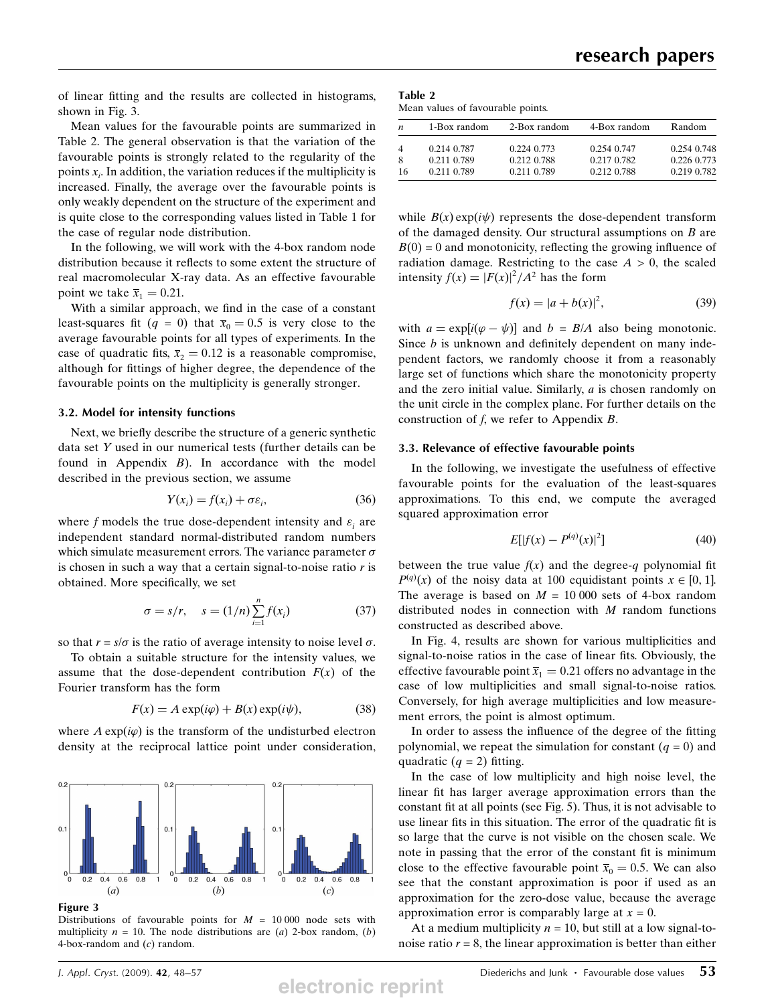of linear fitting and the results are collected in histograms, shown in Fig. 3.

Mean values for the favourable points are summarized in Table 2. The general observation is that the variation of the favourable points is strongly related to the regularity of the points  $x_i$ . In addition, the variation reduces if the multiplicity is increased. Finally, the average over the favourable points is only weakly dependent on the structure of the experiment and is quite close to the corresponding values listed in Table 1 for the case of regular node distribution.

In the following, we will work with the 4-box random node distribution because it reflects to some extent the structure of real macromolecular X-ray data. As an effective favourable point we take  $\overline{x}_1 = 0.21$ .

With a similar approach, we find in the case of a constant least-squares fit (q = 0) that  $\overline{x}_0 = 0.5$  is very close to the average favourable points for all types of experiments. In the case of quadratic fits,  $\overline{x}_2 = 0.12$  is a reasonable compromise, although for fittings of higher degree, the dependence of the favourable points on the multiplicity is generally stronger.

#### 3.2. Model for intensity functions

Next, we briefly describe the structure of a generic synthetic data set Y used in our numerical tests (further details can be found in Appendix  $B$ ). In accordance with the model described in the previous section, we assume

$$
Y(x_i) = f(x_i) + \sigma \varepsilon_i, \tag{36}
$$

where f models the true dose-dependent intensity and  $\varepsilon_i$  are independent standard normal-distributed random numbers which simulate measurement errors. The variance parameter  $\sigma$ is chosen in such a way that a certain signal-to-noise ratio  $r$  is obtained. More specifically, we set

$$
\sigma = s/r, \quad s = (1/n) \sum_{i=1}^{n} f(x_i)
$$
 (37)

so that  $r = s/\sigma$  is the ratio of average intensity to noise level  $\sigma$ .

To obtain a suitable structure for the intensity values, we assume that the dose-dependent contribution  $F(x)$  of the Fourier transform has the form

$$
F(x) = A \exp(i\varphi) + B(x) \exp(i\psi), \tag{38}
$$

where  $A \exp(i\varphi)$  is the transform of the undisturbed electron density at the reciprocal lattice point under consideration,



Figure 3

Distributions of favourable points for  $M = 10000$  node sets with multiplicity  $n = 10$ . The node distributions are (a) 2-box random, (b) 4-box-random and  $(c)$  random.

Table 2 Mean values of favourable points.

| n  | 1-Box random | 2-Box random | 4-Box random | Random      |
|----|--------------|--------------|--------------|-------------|
| 4  | 0.214 0.787  | 0.224 0.773  | 0.254 0.747  | 0.254 0.748 |
| 8  | 0.211 0.789  | 0.212 0.788  | 0.217 0.782  | 0.226 0.773 |
| 16 | 0.211 0.789  | 0.211 0.789  | 0.212 0.788  | 0.219 0.782 |

while  $B(x)$  exp(i $\psi$ ) represents the dose-dependent transform of the damaged density. Our structural assumptions on  $B$  are  $B(0) = 0$  and monotonicity, reflecting the growing influence of radiation damage. Restricting to the case  $A > 0$ , the scaled intensity  $f(x) = |F(x)|^2 / A^2$  has the form

$$
f(x) = |a + b(x)|^2,
$$
 (39)

with  $a = \exp[i(\varphi - \psi)]$  and  $b = B/A$  also being monotonic. Since *b* is unknown and definitely dependent on many independent factors, we randomly choose it from a reasonably large set of functions which share the monotonicity property and the zero initial value. Similarly, a is chosen randomly on the unit circle in the complex plane. For further details on the construction of  $f$ , we refer to Appendix  $B$ .

#### 3.3. Relevance of effective favourable points

In the following, we investigate the usefulness of effective favourable points for the evaluation of the least-squares approximations. To this end, we compute the averaged squared approximation error

$$
E[|f(x) - P^{(q)}(x)|^2]
$$
\n(40)

between the true value  $f(x)$  and the degree-q polynomial fit  $P^{(q)}(x)$  of the noisy data at 100 equidistant points  $x \in [0, 1]$ . The average is based on  $M = 10,000$  sets of 4-box random distributed nodes in connection with  $M$  random functions constructed as described above.

In Fig. 4, results are shown for various multiplicities and signal-to-noise ratios in the case of linear fits. Obviously, the effective favourable point  $\overline{x}_1 = 0.21$  offers no advantage in the case of low multiplicities and small signal-to-noise ratios. Conversely, for high average multiplicities and low measurement errors, the point is almost optimum.

In order to assess the influence of the degree of the fitting polynomial, we repeat the simulation for constant  $(q = 0)$  and quadratic  $(q = 2)$  fitting.

In the case of low multiplicity and high noise level, the linear fit has larger average approximation errors than the constant fit at all points (see Fig. 5). Thus, it is not advisable to use linear fits in this situation. The error of the quadratic fit is so large that the curve is not visible on the chosen scale. We note in passing that the error of the constant fit is minimum close to the effective favourable point  $\bar{x}_0 = 0.5$ . We can also see that the constant approximation is poor if used as an approximation for the zero-dose value, because the average approximation error is comparably large at  $x = 0$ .

At a medium multiplicity  $n = 10$ , but still at a low signal-tonoise ratio  $r = 8$ , the linear approximation is better than either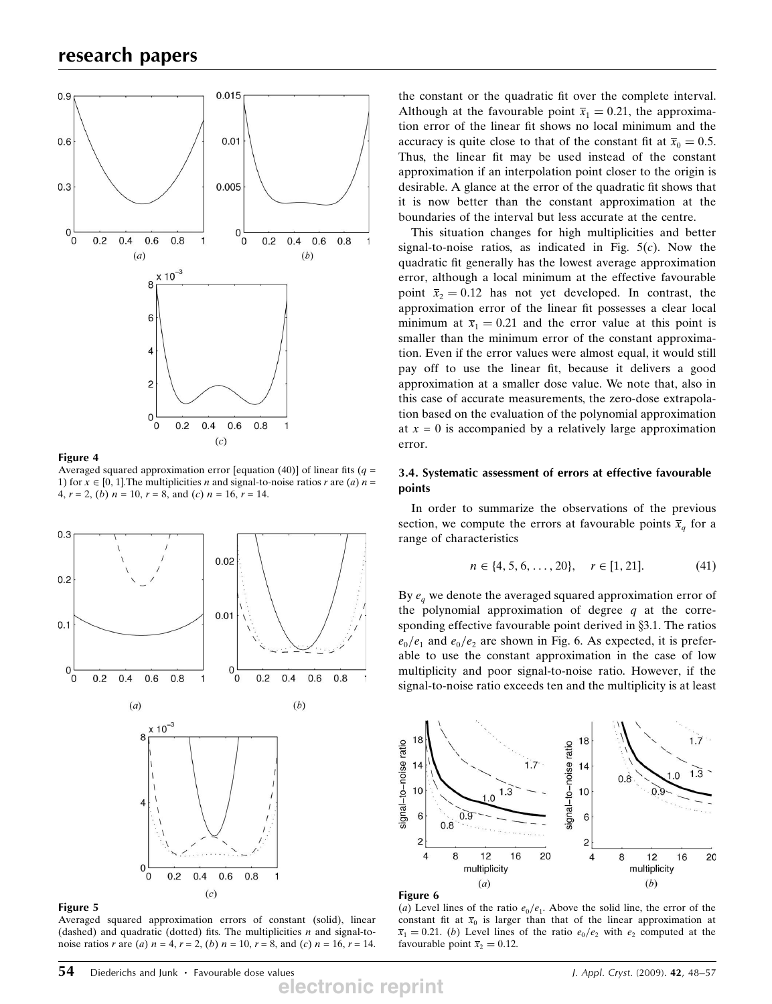

#### Figure 4

Averaged squared approximation error [equation (40)] of linear fits ( $q =$ 1) for  $x \in [0, 1]$ . The multiplicities *n* and signal-to-noise ratios *r* are (*a*) *n* = 4,  $r = 2$ , (b)  $n = 10$ ,  $r = 8$ , and (c)  $n = 16$ ,  $r = 14$ .



#### Figure 5

Averaged squared approximation errors of constant (solid), linear (dashed) and quadratic (dotted) fits. The multiplicities  $n$  and signal-tonoise ratios r are (a)  $n = 4$ ,  $r = 2$ , (b)  $n = 10$ ,  $r = 8$ , and (c)  $n = 16$ ,  $r = 14$ .

the constant or the quadratic fit over the complete interval. Although at the favourable point  $\overline{x}_1 = 0.21$ , the approximation error of the linear fit shows no local minimum and the accuracy is quite close to that of the constant fit at  $\overline{x}_0 = 0.5$ . Thus, the linear fit may be used instead of the constant approximation if an interpolation point closer to the origin is desirable. A glance at the error of the quadratic fit shows that it is now better than the constant approximation at the boundaries of the interval but less accurate at the centre.

This situation changes for high multiplicities and better signal-to-noise ratios, as indicated in Fig.  $5(c)$ . Now the quadratic fit generally has the lowest average approximation error, although a local minimum at the effective favourable point  $\bar{x}_2 = 0.12$  has not yet developed. In contrast, the approximation error of the linear fit possesses a clear local minimum at  $\bar{x}_1 = 0.21$  and the error value at this point is smaller than the minimum error of the constant approximation. Even if the error values were almost equal, it would still pay off to use the linear fit, because it delivers a good approximation at a smaller dose value. We note that, also in this case of accurate measurements, the zero-dose extrapolation based on the evaluation of the polynomial approximation at  $x = 0$  is accompanied by a relatively large approximation error.

### 3.4. Systematic assessment of errors at effective favourable points

In order to summarize the observations of the previous section, we compute the errors at favourable points  $\bar{x}_q$  for a range of characteristics

$$
n \in \{4, 5, 6, \dots, 20\}, \quad r \in [1, 21]. \tag{41}
$$

By  $e_q$  we denote the averaged squared approximation error of the polynomial approximation of degree  $q$  at the corresponding effective favourable point derived in §3.1. The ratios  $e_0/e_1$  and  $e_0/e_2$  are shown in Fig. 6. As expected, it is preferable to use the constant approximation in the case of low multiplicity and poor signal-to-noise ratio. However, if the signal-to-noise ratio exceeds ten and the multiplicity is at least





(a) Level lines of the ratio  $e_0/e_1$ . Above the solid line, the error of the constant fit at  $\bar{x}_0$  is larger than that of the linear approximation at  $\bar{x}_1 = 0.21$ . (b) Level lines of the ratio  $e_0/e_2$  with  $e_2$  computed at the favourable point  $\bar{x}_2 = 0.12$ .

**electronic reprint**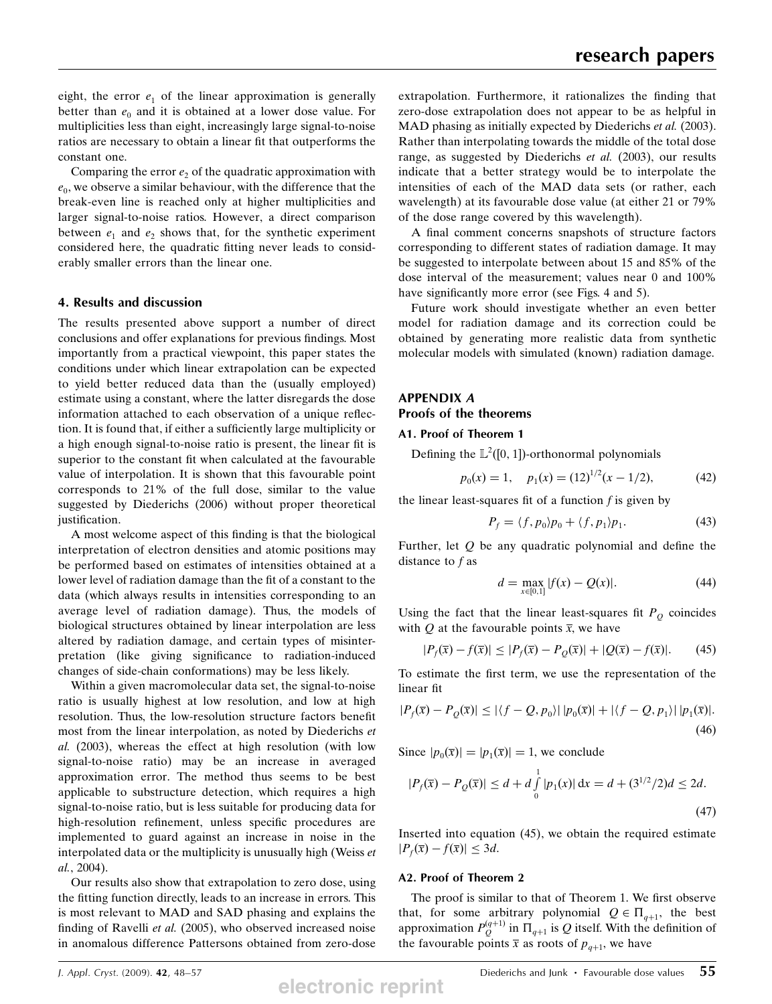eight, the error  $e_1$  of the linear approximation is generally better than  $e_0$  and it is obtained at a lower dose value. For multiplicities less than eight, increasingly large signal-to-noise ratios are necessary to obtain a linear fit that outperforms the constant one.

Comparing the error  $e_2$  of the quadratic approximation with  $e_0$ , we observe a similar behaviour, with the difference that the break-even line is reached only at higher multiplicities and larger signal-to-noise ratios. However, a direct comparison between  $e_1$  and  $e_2$  shows that, for the synthetic experiment considered here, the quadratic fitting never leads to considerably smaller errors than the linear one.

## 4. Results and discussion

The results presented above support a number of direct conclusions and offer explanations for previous findings. Most importantly from a practical viewpoint, this paper states the conditions under which linear extrapolation can be expected to yield better reduced data than the (usually employed) estimate using a constant, where the latter disregards the dose information attached to each observation of a unique reflection. It is found that, if either a sufficiently large multiplicity or a high enough signal-to-noise ratio is present, the linear fit is superior to the constant fit when calculated at the favourable value of interpolation. It is shown that this favourable point corresponds to 21% of the full dose, similar to the value suggested by Diederichs (2006) without proper theoretical justification.

A most welcome aspect of this finding is that the biological interpretation of electron densities and atomic positions may be performed based on estimates of intensities obtained at a lower level of radiation damage than the fit of a constant to the data (which always results in intensities corresponding to an average level of radiation damage). Thus, the models of biological structures obtained by linear interpolation are less altered by radiation damage, and certain types of misinterpretation (like giving significance to radiation-induced changes of side-chain conformations) may be less likely.

Within a given macromolecular data set, the signal-to-noise ratio is usually highest at low resolution, and low at high resolution. Thus, the low-resolution structure factors benefit most from the linear interpolation, as noted by Diederichs et al. (2003), whereas the effect at high resolution (with low signal-to-noise ratio) may be an increase in averaged approximation error. The method thus seems to be best applicable to substructure detection, which requires a high signal-to-noise ratio, but is less suitable for producing data for high-resolution refinement, unless specific procedures are implemented to guard against an increase in noise in the interpolated data or the multiplicity is unusually high (Weiss et al., 2004).

Our results also show that extrapolation to zero dose, using the fitting function directly, leads to an increase in errors. This is most relevant to MAD and SAD phasing and explains the finding of Ravelli et al. (2005), who observed increased noise in anomalous difference Pattersons obtained from zero-dose

extrapolation. Furthermore, it rationalizes the finding that zero-dose extrapolation does not appear to be as helpful in MAD phasing as initially expected by Diederichs et al. (2003). Rather than interpolating towards the middle of the total dose range, as suggested by Diederichs et al. (2003), our results indicate that a better strategy would be to interpolate the intensities of each of the MAD data sets (or rather, each wavelength) at its favourable dose value (at either 21 or 79% of the dose range covered by this wavelength).

A final comment concerns snapshots of structure factors corresponding to different states of radiation damage. It may be suggested to interpolate between about 15 and 85% of the dose interval of the measurement; values near 0 and 100% have significantly more error (see Figs. 4 and 5).

Future work should investigate whether an even better model for radiation damage and its correction could be obtained by generating more realistic data from synthetic molecular models with simulated (known) radiation damage.

# APPENDIX A Proofs of the theorems

## A1. Proof of Theorem 1

Defining the  $\mathbb{L}^2([0, 1])$ -orthonormal polynomials

$$
p_0(x) = 1, \quad p_1(x) = (12)^{1/2}(x - 1/2), \tag{42}
$$

the linear least-squares fit of a function  $f$  is given by

$$
P_f = \langle f, p_0 \rangle p_0 + \langle f, p_1 \rangle p_1. \tag{43}
$$

Further, let  $Q$  be any quadratic polynomial and define the distance to  $f$  as

$$
d = \max_{x \in [0,1]} |f(x) - Q(x)|. \tag{44}
$$

Using the fact that the linear least-squares fit  $P<sub>O</sub>$  coincides with Q at the favourable points  $\overline{x}$ , we have

$$
|P_f(\overline{x}) - f(\overline{x})| \le |P_f(\overline{x}) - P_Q(\overline{x})| + |Q(\overline{x}) - f(\overline{x})|.
$$
 (45)

To estimate the first term, we use the representation of the linear fit

$$
|P_f(\overline{x}) - P_Q(\overline{x})| \le |\langle f - Q, p_0 \rangle| |p_0(\overline{x})| + |\langle f - Q, p_1 \rangle| |p_1(\overline{x})|.
$$
\n(46)

Since  $|p_0(\overline{x})| = |p_1(\overline{x})| = 1$ , we conclude

$$
|P_f(\overline{x}) - P_Q(\overline{x})| \le d + d \int_0^1 |p_1(x)| dx = d + (3^{1/2}/2)d \le 2d.
$$
\n(47)

Inserted into equation (45), we obtain the required estimate  $|P_f(\overline{x}) - f(\overline{x})| \leq 3d.$ 

# A2. Proof of Theorem 2

The proof is similar to that of Theorem 1. We first observe that, for some arbitrary polynomial  $Q \in \Pi_{q+1}$ , the best approximation  $P_Q^{(q+1)}$  in  $\Pi_{q+1}$  is Q itself. With the definition of the favourable points  $\bar{x}$  as roots of  $p_{q+1}$ , we have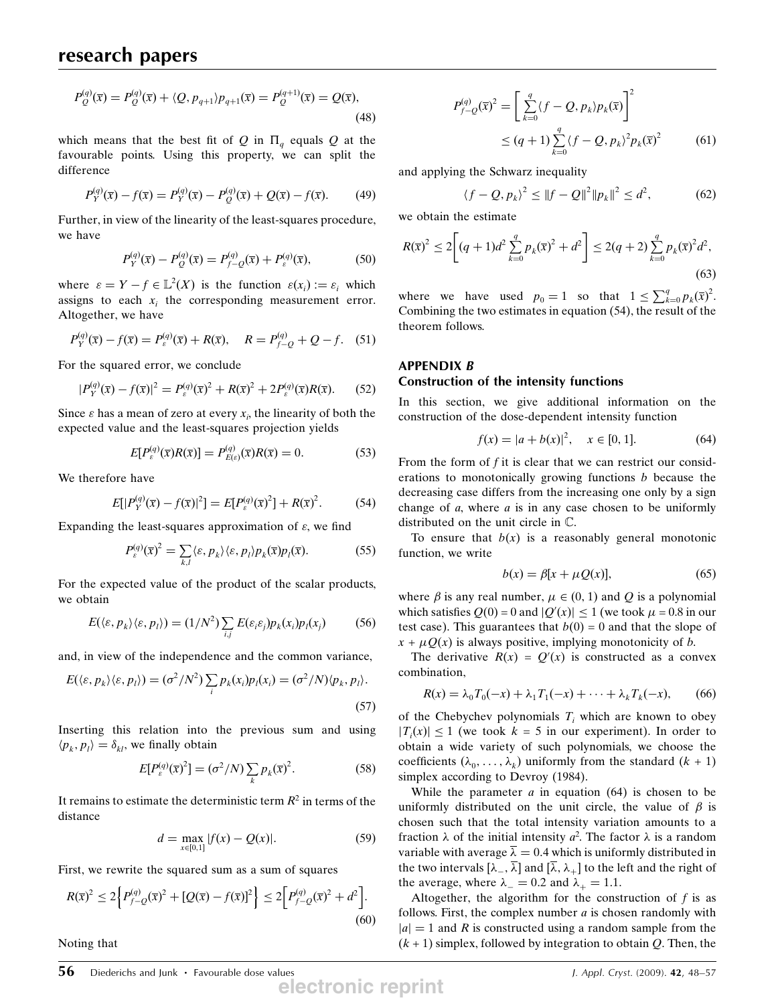$$
P_Q^{(q)}(\overline{x}) = P_Q^{(q)}(\overline{x}) + \langle Q, p_{q+1} \rangle p_{q+1}(\overline{x}) = P_Q^{(q+1)}(\overline{x}) = Q(\overline{x}),\tag{48}
$$

which means that the best fit of Q in  $\Pi_q$  equals Q at the favourable points. Using this property, we can split the difference

$$
P_Y^{(q)}(\bar{x}) - f(\bar{x}) = P_Y^{(q)}(\bar{x}) - P_Q^{(q)}(\bar{x}) + Q(\bar{x}) - f(\bar{x}).
$$
 (49)

Further, in view of the linearity of the least-squares procedure, we have

$$
P_Y^{(q)}(\overline{x}) - P_Q^{(q)}(\overline{x}) = P_{f-Q}^{(q)}(\overline{x}) + P_\varepsilon^{(q)}(\overline{x}), \tag{50}
$$

where  $\varepsilon = Y - f \in \mathbb{L}^2(X)$  is the function  $\varepsilon(x_i) := \varepsilon_i$  which assigns to each  $x_i$  the corresponding measurement error. Altogether, we have

$$
P_Y^{(q)}(\bar{x}) - f(\bar{x}) = P_{\varepsilon}^{(q)}(\bar{x}) + R(\bar{x}), \quad R = P_{f-Q}^{(q)} + Q - f. \quad (51)
$$

For the squared error, we conclude

$$
|P_Y^{(q)}(\bar{x}) - f(\bar{x})|^2 = P_\varepsilon^{(q)}(\bar{x})^2 + R(\bar{x})^2 + 2P_\varepsilon^{(q)}(\bar{x})R(\bar{x}). \tag{52}
$$

Since  $\varepsilon$  has a mean of zero at every  $x_i$ , the linearity of both the expected value and the least-squares projection yields

$$
E[P_{\varepsilon}^{(q)}(\overline{x})R(\overline{x})] = P_{E(\varepsilon)}^{(q)}(\overline{x})R(\overline{x}) = 0.
$$
 (53)

We therefore have

$$
E[|P_Y^{(q)}(\overline{x}) - f(\overline{x})|^2] = E[P_\varepsilon^{(q)}(\overline{x})^2] + R(\overline{x})^2. \tag{54}
$$

Expanding the least-squares approximation of  $\varepsilon$ , we find

$$
P_{\varepsilon}^{(q)}(\overline{x})^2 = \sum_{k,l} \langle \varepsilon, p_k \rangle \langle \varepsilon, p_l \rangle p_k(\overline{x}) p_l(\overline{x}). \tag{55}
$$

For the expected value of the product of the scalar products, we obtain

$$
E(\langle \varepsilon, p_k \rangle \langle \varepsilon, p_l \rangle) = (1/N^2) \sum_{i,j} E(\varepsilon_i \varepsilon_j) p_k(x_i) p_l(x_j)
$$
(56)

and, in view of the independence and the common variance,

$$
E(\langle \varepsilon, p_k \rangle \langle \varepsilon, p_l \rangle) = (\sigma^2 / N^2) \sum_i p_k(x_i) p_l(x_i) = (\sigma^2 / N) \langle p_k, p_l \rangle.
$$
\n(57)

Inserting this relation into the previous sum and using  $\langle p_k, p_l \rangle = \delta_{kl}$ , we finally obtain

$$
E[P_{\varepsilon}^{(q)}(\overline{x})^2] = (\sigma^2/N) \sum_{k} p_k(\overline{x})^2.
$$
 (58)

It remains to estimate the deterministic term  $R^2$  in terms of the distance

$$
d = \max_{x \in [0,1]} |f(x) - Q(x)|. \tag{59}
$$

First, we rewrite the squared sum as a sum of squares

$$
R(\overline{x})^2 \le 2\Big\{P_{f-Q}^{(q)}(\overline{x})^2 + [Q(\overline{x}) - f(\overline{x})]^2\Big\} \le 2\Big[P_{f-Q}^{(q)}(\overline{x})^2 + d^2\Big].\tag{60}
$$

Noting that

$$
P_{f-Q}^{(q)}(\bar{x})^2 = \left[\sum_{k=0}^{q} \langle f-Q, p_k \rangle p_k(\bar{x})\right]^2
$$
  
 
$$
\leq (q+1) \sum_{k=0}^{q} \langle f-Q, p_k \rangle^2 p_k(\bar{x})^2 \tag{61}
$$

and applying the Schwarz inequality

$$
\langle f - Q, p_k \rangle^2 \le ||f - Q||^2 ||p_k||^2 \le d^2, \tag{62}
$$

we obtain the estimate

$$
R(\overline{x})^2 \le 2\bigg[ (q+1)d^2 \sum_{k=0}^q p_k(\overline{x})^2 + d^2 \bigg] \le 2(q+2) \sum_{k=0}^q p_k(\overline{x})^2 d^2,
$$
\n(63)

where we have used  $p_0 = 1$  so that  $1 \le \sum_{k=0}^{q} p_k(\overline{x})^2$ . Combining the two estimates in equation (54), the result of the theorem follows.

# APPENDIX B Construction of the intensity functions

In this section, we give additional information on the construction of the dose-dependent intensity function

$$
f(x) = |a + b(x)|^2, \quad x \in [0, 1].
$$
 (64)

From the form of  $f$  it is clear that we can restrict our considerations to monotonically growing functions  $b$  because the decreasing case differs from the increasing one only by a sign change of  $a$ , where  $a$  is in any case chosen to be uniformly distributed on the unit circle in C.

To ensure that  $b(x)$  is a reasonably general monotonic function, we write

$$
b(x) = \beta[x + \mu Q(x)],\tag{65}
$$

where  $\beta$  is any real number,  $\mu \in (0, 1)$  and  $Q$  is a polynomial which satisfies  $Q(0) = 0$  and  $|Q'(x)| \le 1$  (we took  $\mu = 0.8$  in our test case). This guarantees that  $b(0) = 0$  and that the slope of  $x + \mu Q(x)$  is always positive, implying monotonicity of b.

The derivative  $R(x) = Q'(x)$  is constructed as a convex combination,

$$
R(x) = \lambda_0 T_0(-x) + \lambda_1 T_1(-x) + \dots + \lambda_k T_k(-x), \qquad (66)
$$

of the Chebychev polynomials  $T_i$  which are known to obey  $|T_i(x)| \leq 1$  (we took  $k = 5$  in our experiment). In order to obtain a wide variety of such polynomials, we choose the coefficients  $(\lambda_0, \ldots, \lambda_k)$  uniformly from the standard  $(k + 1)$ simplex according to Devroy (1984).

While the parameter  $a$  in equation (64) is chosen to be uniformly distributed on the unit circle, the value of  $\beta$  is chosen such that the total intensity variation amounts to a fraction  $\lambda$  of the initial intensity  $a^2$ . The factor  $\lambda$  is a random variable with average  $\overline{\lambda} = 0.4$  which is uniformly distributed in the two intervals  $[\lambda_-, \overline{\lambda}]$  and  $[\overline{\lambda}, \lambda_+]$  to the left and the right of the average, where  $\lambda_{-} = 0.2$  and  $\lambda_{+} = 1.1$ .

Altogether, the algorithm for the construction of  $f$  is as follows. First, the complex number  $a$  is chosen randomly with  $|a| = 1$  and R is constructed using a random sample from the  $(k + 1)$  simplex, followed by integration to obtain Q. Then, the